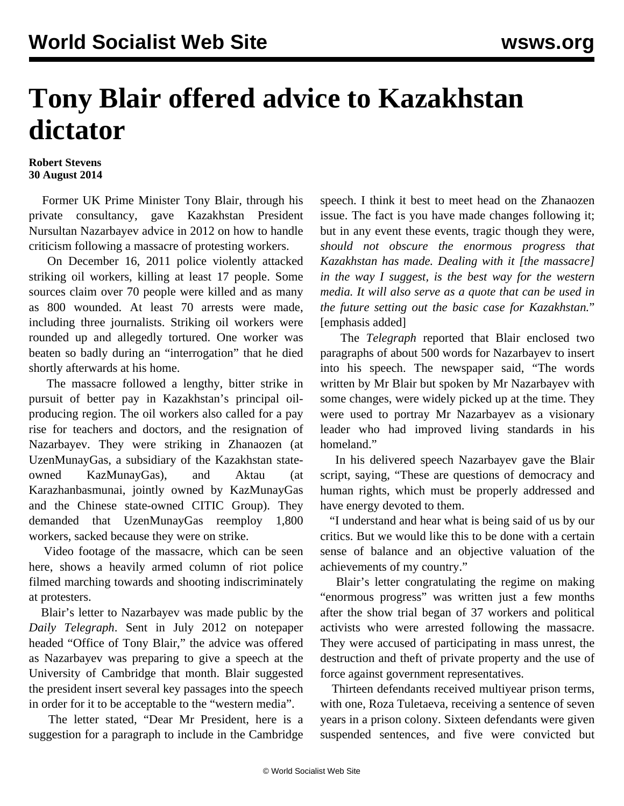## **Tony Blair offered advice to Kazakhstan dictator**

## **Robert Stevens 30 August 2014**

 Former UK Prime Minister Tony Blair, through his private consultancy, gave Kazakhstan President Nursultan Nazarbayev advice in 2012 on how to handle criticism following a massacre of protesting workers.

 On December 16, 2011 police violently attacked striking oil workers, killing at least 17 people. Some sources claim over 70 people were killed and as many as 800 wounded. At least 70 arrests were made, including three journalists. Striking oil workers were rounded up and allegedly tortured. One worker was beaten so badly during an "interrogation" that he died shortly afterwards at his home.

 The massacre followed a lengthy, bitter strike in pursuit of better pay in Kazakhstan's principal oilproducing region. The oil workers also called for a pay rise for teachers and doctors, and the resignation of Nazarbayev. They were striking in Zhanaozen (at UzenMunayGas, a subsidiary of the Kazakhstan stateowned KazMunayGas), and Aktau (at Karazhanbasmunai, jointly owned by KazMunayGas and the Chinese state-owned CITIC Group). They demanded that UzenMunayGas reemploy 1,800 workers, sacked because they were on strike.

 Video footage of the massacre, which can be seen [here,](https://www.youtube.com/watch?v=6BotGiV5DeQ) shows a heavily armed column of riot police filmed marching towards and shooting indiscriminately at protesters.

 Blair's letter to Nazarbayev was made public by the *Daily Telegraph*. Sent in July 2012 on notepaper headed "Office of Tony Blair," the advice was offered as Nazarbayev was preparing to give a speech at the University of Cambridge that month. Blair suggested the president insert several key passages into the speech in order for it to be acceptable to the "western media".

 The letter stated, "Dear Mr President, here is a suggestion for a paragraph to include in the Cambridge speech. I think it best to meet head on the Zhanaozen issue. The fact is you have made changes following it; but in any event these events, tragic though they were, *should not obscure the enormous progress that Kazakhstan has made. Dealing with it [the massacre] in the way I suggest, is the best way for the western media. It will also serve as a quote that can be used in the future setting out the basic case for Kazakhstan.*" [emphasis added]

 The *Telegraph* reported that Blair enclosed two paragraphs of about 500 words for Nazarbayev to insert into his speech. The newspaper said, "The words written by Mr Blair but spoken by Mr Nazarbayev with some changes, were widely picked up at the time. They were used to portray Mr Nazarbayev as a visionary leader who had improved living standards in his homeland."

 In his delivered speech Nazarbayev gave the Blair script, saying, "These are questions of democracy and human rights, which must be properly addressed and have energy devoted to them.

 "I understand and hear what is being said of us by our critics. But we would like this to be done with a certain sense of balance and an objective valuation of the achievements of my country."

 Blair's letter congratulating the regime on making "enormous progress" was written just a few months after the [show trial](/en/articles/2012/04/kaza-a27.html) began of 37 workers and political activists who were arrested following the massacre. They were accused of participating in mass unrest, the destruction and theft of private property and the use of force against government representatives.

 Thirteen defendants received multiyear prison terms, with one, Roza Tuletaeva, receiving a sentence of seven years in a prison colony. Sixteen defendants were given suspended sentences, and five were convicted but